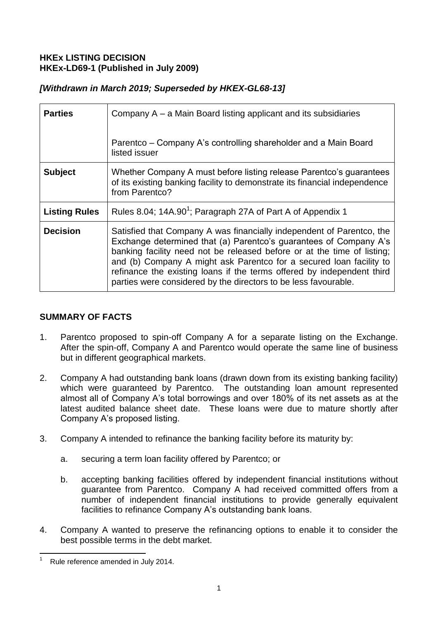# **HKEx LISTING DECISION HKEx-LD69-1 (Published in July 2009)**

# *[Withdrawn in March 2019; Superseded by HKEX-GL68-13]*

| <b>Parties</b>       | Company A – a Main Board listing applicant and its subsidiaries                                                                                                                                                                                                                                                                                                                                                                           |
|----------------------|-------------------------------------------------------------------------------------------------------------------------------------------------------------------------------------------------------------------------------------------------------------------------------------------------------------------------------------------------------------------------------------------------------------------------------------------|
|                      | Parentco – Company A's controlling shareholder and a Main Board<br>listed issuer                                                                                                                                                                                                                                                                                                                                                          |
| <b>Subject</b>       | Whether Company A must before listing release Parentco's guarantees<br>of its existing banking facility to demonstrate its financial independence<br>from Parentco?                                                                                                                                                                                                                                                                       |
| <b>Listing Rules</b> | Rules 8.04; 14A.90 <sup>1</sup> ; Paragraph 27A of Part A of Appendix 1                                                                                                                                                                                                                                                                                                                                                                   |
| <b>Decision</b>      | Satisfied that Company A was financially independent of Parentco, the<br>Exchange determined that (a) Parentco's guarantees of Company A's<br>banking facility need not be released before or at the time of listing;<br>and (b) Company A might ask Parentco for a secured loan facility to<br>refinance the existing loans if the terms offered by independent third<br>parties were considered by the directors to be less favourable. |

# **SUMMARY OF FACTS**

- 1. Parentco proposed to spin-off Company A for a separate listing on the Exchange. After the spin-off, Company A and Parentco would operate the same line of business but in different geographical markets.
- 2. Company A had outstanding bank loans (drawn down from its existing banking facility) which were guaranteed by Parentco. The outstanding loan amount represented almost all of Company A's total borrowings and over 180% of its net assets as at the latest audited balance sheet date. These loans were due to mature shortly after Company A's proposed listing.
- 3. Company A intended to refinance the banking facility before its maturity by:
	- a. securing a term loan facility offered by Parentco; or
	- b. accepting banking facilities offered by independent financial institutions without guarantee from Parentco. Company A had received committed offers from a number of independent financial institutions to provide generally equivalent facilities to refinance Company A's outstanding bank loans.
- 4. Company A wanted to preserve the refinancing options to enable it to consider the best possible terms in the debt market.

<sup>1</sup> Rule reference amended in July 2014.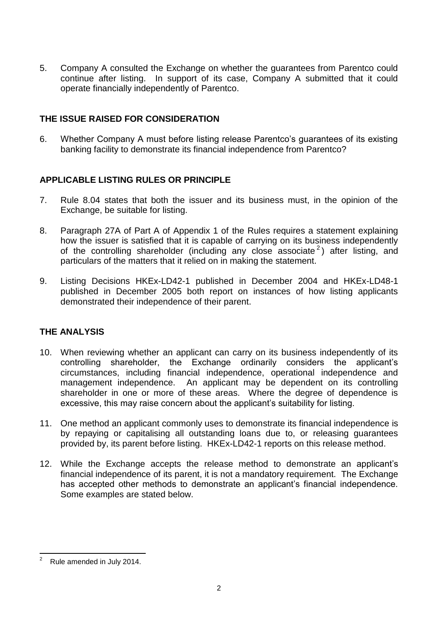5. Company A consulted the Exchange on whether the guarantees from Parentco could continue after listing. In support of its case, Company A submitted that it could operate financially independently of Parentco.

### **THE ISSUE RAISED FOR CONSIDERATION**

6. Whether Company A must before listing release Parentco's guarantees of its existing banking facility to demonstrate its financial independence from Parentco?

### **APPLICABLE LISTING RULES OR PRINCIPLE**

- 7. Rule 8.04 states that both the issuer and its business must, in the opinion of the Exchange, be suitable for listing.
- 8. Paragraph 27A of Part A of Appendix 1 of the Rules requires a statement explaining how the issuer is satisfied that it is capable of carrying on its business independently of the controlling shareholder (including any close associate<sup>2</sup>) after listing, and particulars of the matters that it relied on in making the statement.
- 9. Listing Decisions HKEx-LD42-1 published in December 2004 and HKEx-LD48-1 published in December 2005 both report on instances of how listing applicants demonstrated their independence of their parent.

# **THE ANALYSIS**

- 10. When reviewing whether an applicant can carry on its business independently of its controlling shareholder, the Exchange ordinarily considers the applicant's circumstances, including financial independence, operational independence and management independence. An applicant may be dependent on its controlling shareholder in one or more of these areas. Where the degree of dependence is excessive, this may raise concern about the applicant's suitability for listing.
- 11. One method an applicant commonly uses to demonstrate its financial independence is by repaying or capitalising all outstanding loans due to, or releasing guarantees provided by, its parent before listing. HKEx-LD42-1 reports on this release method.
- 12. While the Exchange accepts the release method to demonstrate an applicant's financial independence of its parent, it is not a mandatory requirement. The Exchange has accepted other methods to demonstrate an applicant's financial independence. Some examples are stated below.

<sup>1</sup> <sup>2</sup> Rule amended in July 2014.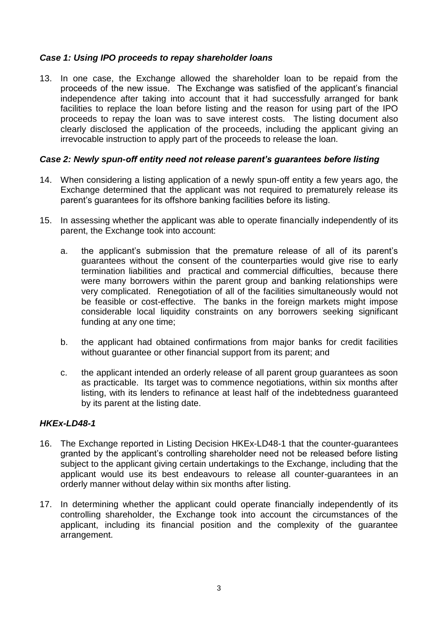### *Case 1: Using IPO proceeds to repay shareholder loans*

13. In one case, the Exchange allowed the shareholder loan to be repaid from the proceeds of the new issue. The Exchange was satisfied of the applicant's financial independence after taking into account that it had successfully arranged for bank facilities to replace the loan before listing and the reason for using part of the IPO proceeds to repay the loan was to save interest costs. The listing document also clearly disclosed the application of the proceeds, including the applicant giving an irrevocable instruction to apply part of the proceeds to release the loan.

#### *Case 2: Newly spun-off entity need not release parent's guarantees before listing*

- 14. When considering a listing application of a newly spun-off entity a few years ago, the Exchange determined that the applicant was not required to prematurely release its parent's guarantees for its offshore banking facilities before its listing.
- 15. In assessing whether the applicant was able to operate financially independently of its parent, the Exchange took into account:
	- a. the applicant's submission that the premature release of all of its parent's guarantees without the consent of the counterparties would give rise to early termination liabilities and practical and commercial difficulties, because there were many borrowers within the parent group and banking relationships were very complicated. Renegotiation of all of the facilities simultaneously would not be feasible or cost-effective. The banks in the foreign markets might impose considerable local liquidity constraints on any borrowers seeking significant funding at any one time;
	- b. the applicant had obtained confirmations from major banks for credit facilities without guarantee or other financial support from its parent; and
	- c. the applicant intended an orderly release of all parent group guarantees as soon as practicable. Its target was to commence negotiations, within six months after listing, with its lenders to refinance at least half of the indebtedness guaranteed by its parent at the listing date.

# *HKEx-LD48-1*

- 16. The Exchange reported in Listing Decision HKEx-LD48-1 that the counter-guarantees granted by the applicant's controlling shareholder need not be released before listing subject to the applicant giving certain undertakings to the Exchange, including that the applicant would use its best endeavours to release all counter-guarantees in an orderly manner without delay within six months after listing.
- 17. In determining whether the applicant could operate financially independently of its controlling shareholder, the Exchange took into account the circumstances of the applicant, including its financial position and the complexity of the guarantee arrangement.